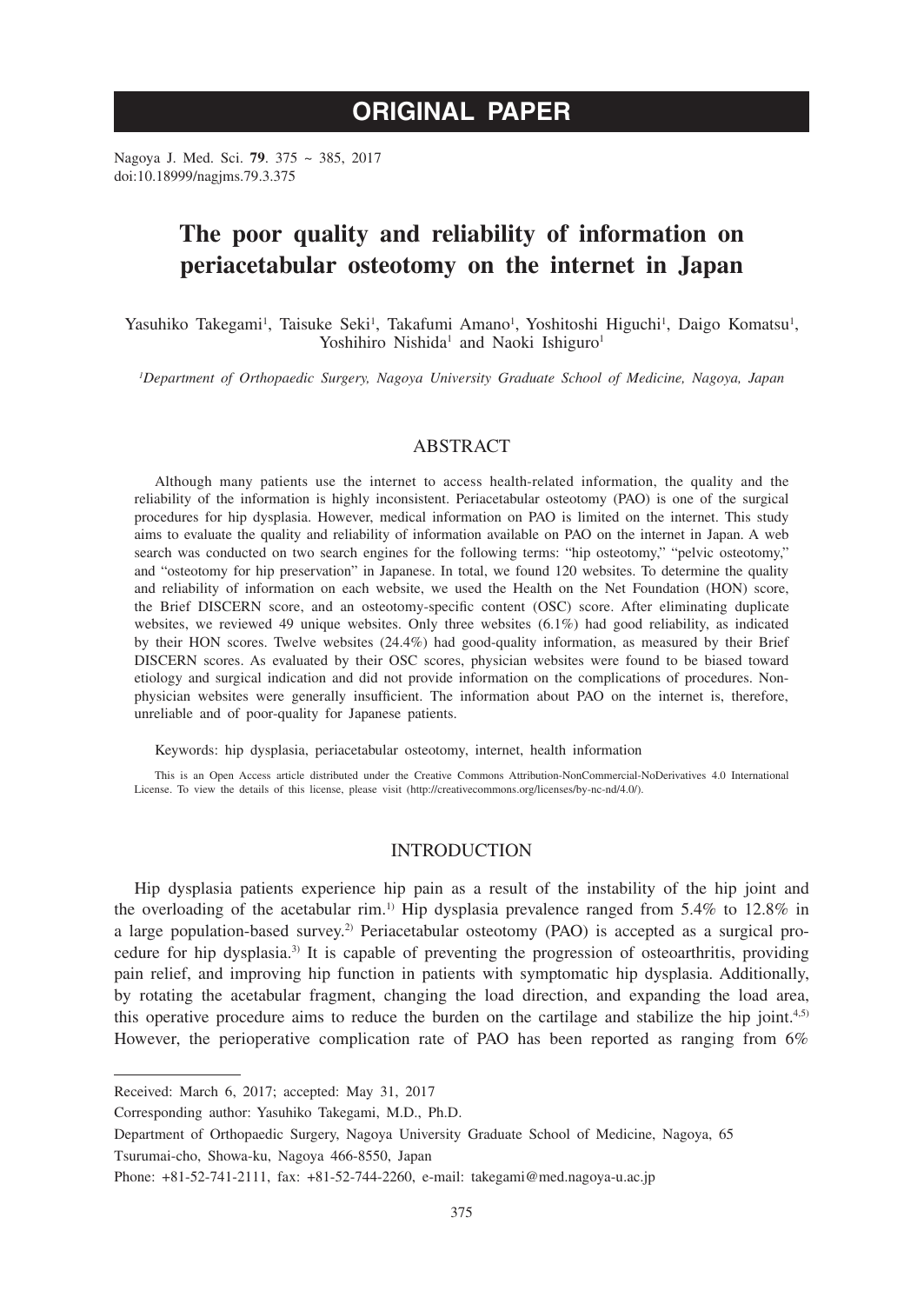# **ORIGINAL PAPER**

Nagoya J. Med. Sci. **79**. 375 ~ 385, 2017 doi:10.18999/nagjms.79.3.375

# **The poor quality and reliability of information on periacetabular osteotomy on the internet in Japan**

Yasuhiko Takegami<sup>1</sup>, Taisuke Seki<sup>1</sup>, Takafumi Amano<sup>1</sup>, Yoshitoshi Higuchi<sup>1</sup>, Daigo Komatsu<sup>1</sup>, Yoshihiro Nishida<sup>1</sup> and Naoki Ishiguro<sup>1</sup>

*1 Department of Orthopaedic Surgery, Nagoya University Graduate School of Medicine, Nagoya, Japan*

# ABSTRACT

Although many patients use the internet to access health-related information, the quality and the reliability of the information is highly inconsistent. Periacetabular osteotomy (PAO) is one of the surgical procedures for hip dysplasia. However, medical information on PAO is limited on the internet. This study aims to evaluate the quality and reliability of information available on PAO on the internet in Japan. A web search was conducted on two search engines for the following terms: "hip osteotomy," "pelvic osteotomy," and "osteotomy for hip preservation" in Japanese. In total, we found 120 websites. To determine the quality and reliability of information on each website, we used the Health on the Net Foundation (HON) score, the Brief DISCERN score, and an osteotomy-specific content (OSC) score. After eliminating duplicate websites, we reviewed 49 unique websites. Only three websites (6.1%) had good reliability, as indicated by their HON scores. Twelve websites (24.4%) had good-quality information, as measured by their Brief DISCERN scores. As evaluated by their OSC scores, physician websites were found to be biased toward etiology and surgical indication and did not provide information on the complications of procedures. Nonphysician websites were generally insufficient. The information about PAO on the internet is, therefore, unreliable and of poor-quality for Japanese patients.

Keywords: hip dysplasia, periacetabular osteotomy, internet, health information

This is an Open Access article distributed under the Creative Commons Attribution-NonCommercial-NoDerivatives 4.0 International License. To view the details of this license, please visit (http://creativecommons.org/licenses/by-nc-nd/4.0/).

# INTRODUCTION

Hip dysplasia patients experience hip pain as a result of the instability of the hip joint and the overloading of the acetabular rim.<sup>1)</sup> Hip dysplasia prevalence ranged from  $5.4\%$  to  $12.8\%$  in a large population-based survey.<sup>2)</sup> Periacetabular osteotomy (PAO) is accepted as a surgical procedure for hip dysplasia.3) It is capable of preventing the progression of osteoarthritis, providing pain relief, and improving hip function in patients with symptomatic hip dysplasia. Additionally, by rotating the acetabular fragment, changing the load direction, and expanding the load area, this operative procedure aims to reduce the burden on the cartilage and stabilize the hip joint. $4,5$ ) However, the perioperative complication rate of PAO has been reported as ranging from 6%

Received: March 6, 2017; accepted: May 31, 2017

Corresponding author: Yasuhiko Takegami, M.D., Ph.D.

Department of Orthopaedic Surgery, Nagoya University Graduate School of Medicine, Nagoya, 65 Tsurumai-cho, Showa-ku, Nagoya 466-8550, Japan

Phone: +81-52-741-2111, fax: +81-52-744-2260, e-mail: takegami@med.nagoya-u.ac.jp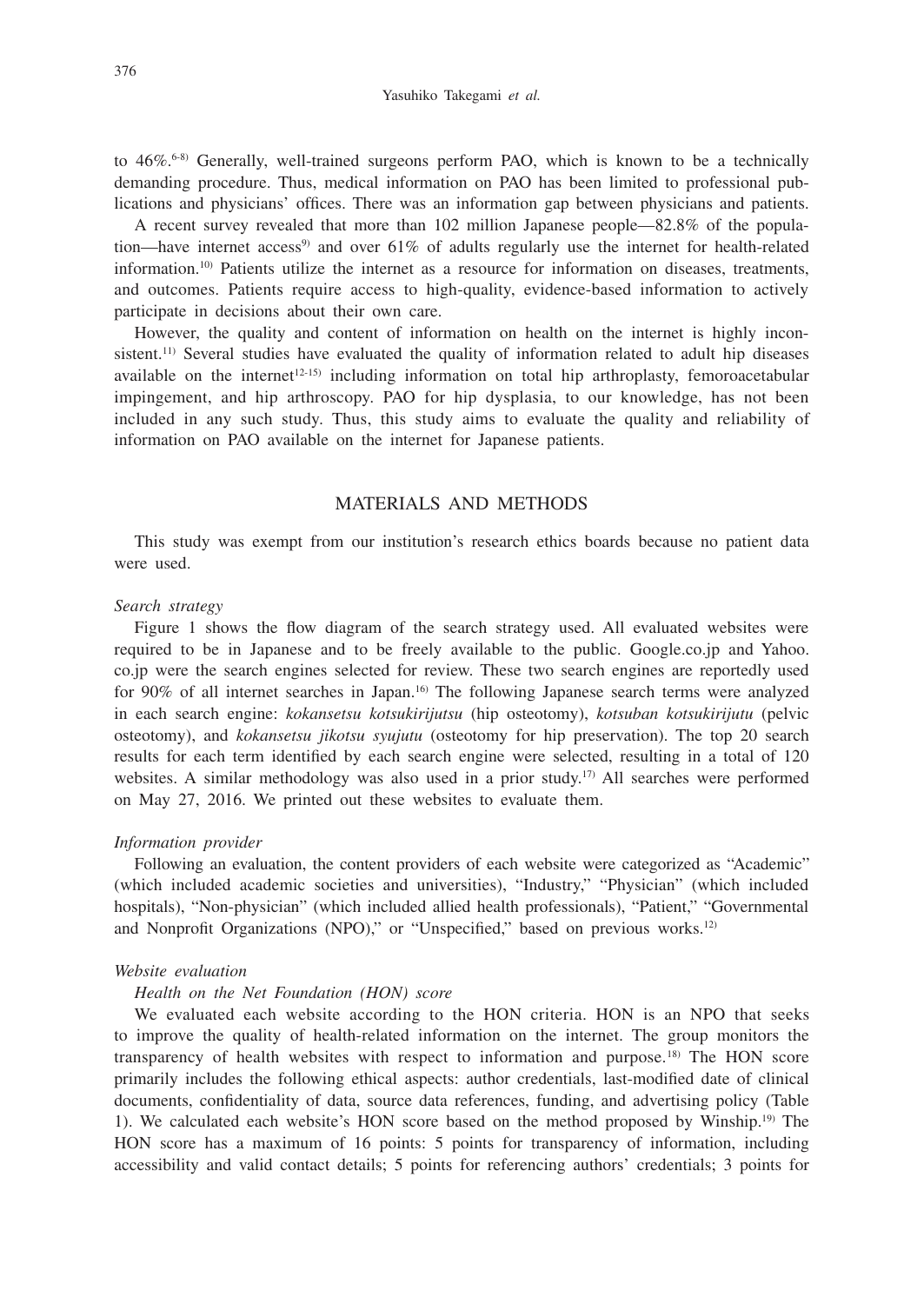Yasuhiko Takegami *et al.*

to 46%.6-8) Generally, well-trained surgeons perform PAO, which is known to be a technically demanding procedure. Thus, medical information on PAO has been limited to professional publications and physicians' offices. There was an information gap between physicians and patients.

A recent survey revealed that more than 102 million Japanese people—82.8% of the population—have internet access<sup>9)</sup> and over  $61\%$  of adults regularly use the internet for health-related information.10) Patients utilize the internet as a resource for information on diseases, treatments, and outcomes. Patients require access to high-quality, evidence-based information to actively participate in decisions about their own care.

However, the quality and content of information on health on the internet is highly inconsistent.<sup>11)</sup> Several studies have evaluated the quality of information related to adult hip diseases available on the internet<sup> $12-15$ </sup> including information on total hip arthroplasty, femoroacetabular impingement, and hip arthroscopy. PAO for hip dysplasia, to our knowledge, has not been included in any such study. Thus, this study aims to evaluate the quality and reliability of information on PAO available on the internet for Japanese patients.

# MATERIALS AND METHODS

This study was exempt from our institution's research ethics boards because no patient data were used.

#### *Search strategy*

Figure 1 shows the flow diagram of the search strategy used. All evaluated websites were required to be in Japanese and to be freely available to the public. Google.co.jp and Yahoo. co.jp were the search engines selected for review. These two search engines are reportedly used for 90% of all internet searches in Japan.<sup>16)</sup> The following Japanese search terms were analyzed in each search engine: *kokansetsu kotsukirijutsu* (hip osteotomy), *kotsuban kotsukirijutu* (pelvic osteotomy), and *kokansetsu jikotsu syujutu* (osteotomy for hip preservation). The top 20 search results for each term identified by each search engine were selected, resulting in a total of 120 websites. A similar methodology was also used in a prior study.<sup>17)</sup> All searches were performed on May 27, 2016. We printed out these websites to evaluate them.

### *Information provider*

Following an evaluation, the content providers of each website were categorized as "Academic" (which included academic societies and universities), "Industry," "Physician" (which included hospitals), "Non-physician" (which included allied health professionals), "Patient," "Governmental and Nonprofit Organizations (NPO)," or "Unspecified," based on previous works.<sup>12)</sup>

## *Website evaluation*

### *Health on the Net Foundation (HON) score*

We evaluated each website according to the HON criteria. HON is an NPO that seeks to improve the quality of health-related information on the internet. The group monitors the transparency of health websites with respect to information and purpose.18) The HON score primarily includes the following ethical aspects: author credentials, last-modified date of clinical documents, confidentiality of data, source data references, funding, and advertising policy (Table 1). We calculated each website's HON score based on the method proposed by Winship.19) The HON score has a maximum of 16 points: 5 points for transparency of information, including accessibility and valid contact details; 5 points for referencing authors' credentials; 3 points for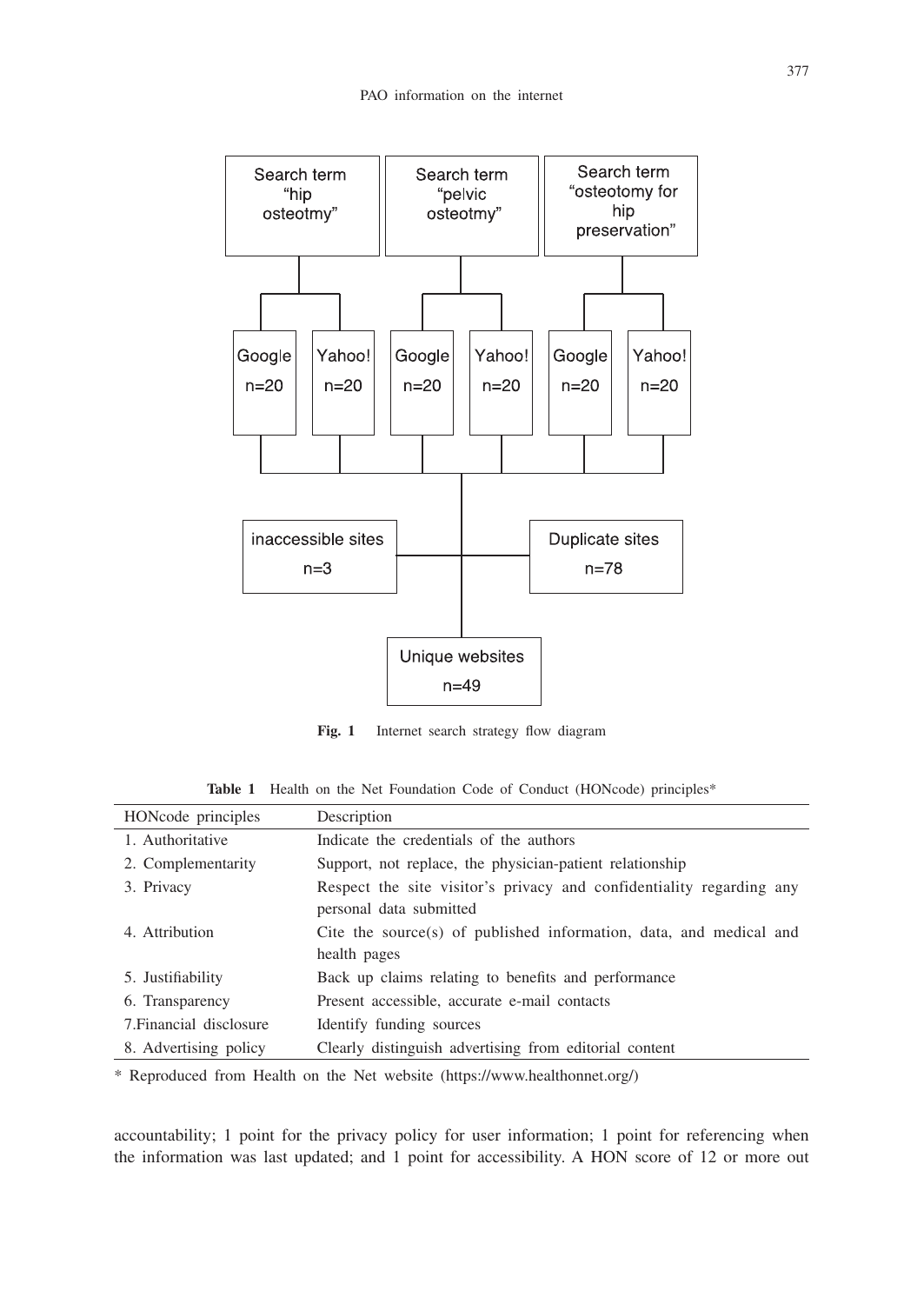

**Fig. 1** Internet search strategy flow diagram

Table 1 Health on the Net Foundation Code of Conduct (HONcode) principles<sup>\*</sup>

| HONcode principles      | Description                                                                                     |
|-------------------------|-------------------------------------------------------------------------------------------------|
| 1. Authoritative        | Indicate the credentials of the authors                                                         |
| 2. Complementarity      | Support, not replace, the physician-patient relationship                                        |
| 3. Privacy              | Respect the site visitor's privacy and confidentiality regarding any<br>personal data submitted |
| 4. Attribution          | Cite the source(s) of published information, data, and medical and                              |
|                         | health pages                                                                                    |
| 5. Justifiability       | Back up claims relating to benefits and performance                                             |
| 6. Transparency         | Present accessible, accurate e-mail contacts                                                    |
| 7. Financial disclosure | Identify funding sources                                                                        |
| 8. Advertising policy   | Clearly distinguish advertising from editorial content                                          |
|                         |                                                                                                 |

\* Reproduced from Health on the Net website (https://www.healthonnet.org/)

accountability; 1 point for the privacy policy for user information; 1 point for referencing when the information was last updated; and 1 point for accessibility. A HON score of 12 or more out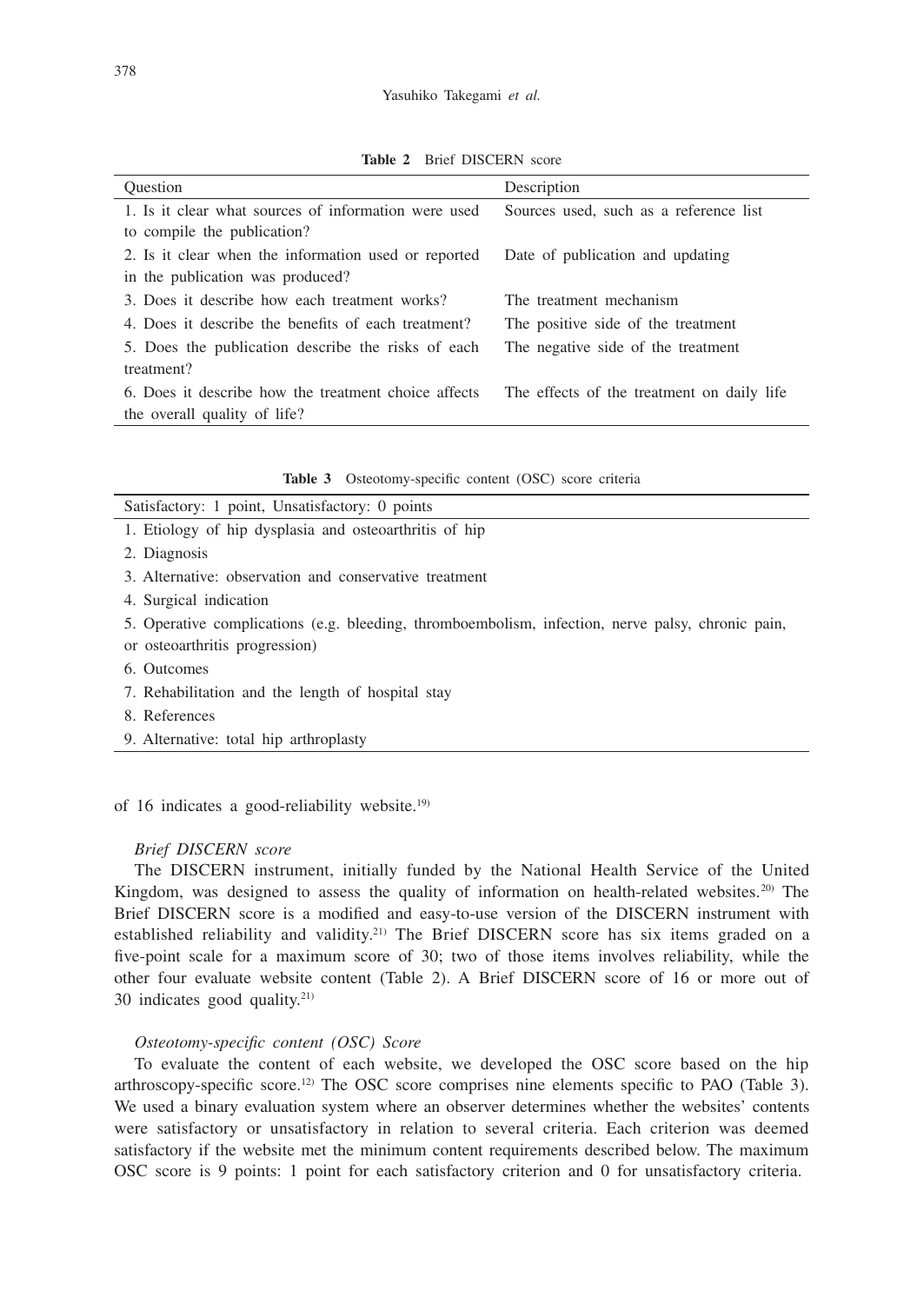**Table 2** Brief DISCERN score

| <b>Ouestion</b>                                      | Description                                |
|------------------------------------------------------|--------------------------------------------|
| 1. Is it clear what sources of information were used | Sources used, such as a reference list     |
| to compile the publication?                          |                                            |
| 2. Is it clear when the information used or reported | Date of publication and updating           |
| in the publication was produced?                     |                                            |
| 3. Does it describe how each treatment works?        | The treatment mechanism                    |
| 4. Does it describe the benefits of each treatment?  | The positive side of the treatment         |
| 5. Does the publication describe the risks of each   | The negative side of the treatment         |
| treatment?                                           |                                            |
| 6. Does it describe how the treatment choice affects | The effects of the treatment on daily life |
| the overall quality of life?                         |                                            |

|  | Table 3 Osteotomy-specific content (OSC) score criteria |  |  |  |  |
|--|---------------------------------------------------------|--|--|--|--|
|--|---------------------------------------------------------|--|--|--|--|

| Satisfactory: 1 point, Unsatisfactory: 0 points        |
|--------------------------------------------------------|
| 1. Etiology of hip dysplasia and osteoarthritis of hip |
| 2. Diagnosis                                           |
| 3. Alternative: observation and conservative treatment |

4. Surgical indication

5. Operative complications (e.g. bleeding, thromboembolism, infection, nerve palsy, chronic pain,

- or osteoarthritis progression)
- 6. Outcomes
- 7. Rehabilitation and the length of hospital stay
- 8. References
- 9. Alternative: total hip arthroplasty

of 16 indicates a good-reliability website.19)

### *Brief DISCERN score*

The DISCERN instrument, initially funded by the National Health Service of the United Kingdom, was designed to assess the quality of information on health-related websites.<sup>20)</sup> The Brief DISCERN score is a modified and easy-to-use version of the DISCERN instrument with established reliability and validity.<sup>21)</sup> The Brief DISCERN score has six items graded on a five-point scale for a maximum score of 30; two of those items involves reliability, while the other four evaluate website content (Table 2). A Brief DISCERN score of 16 or more out of 30 indicates good quality. $21$ 

## *Osteotomy-specific content (OSC) Score*

To evaluate the content of each website, we developed the OSC score based on the hip arthroscopy-specific score.<sup>12)</sup> The OSC score comprises nine elements specific to PAO (Table 3). We used a binary evaluation system where an observer determines whether the websites' contents were satisfactory or unsatisfactory in relation to several criteria. Each criterion was deemed satisfactory if the website met the minimum content requirements described below. The maximum OSC score is 9 points: 1 point for each satisfactory criterion and 0 for unsatisfactory criteria.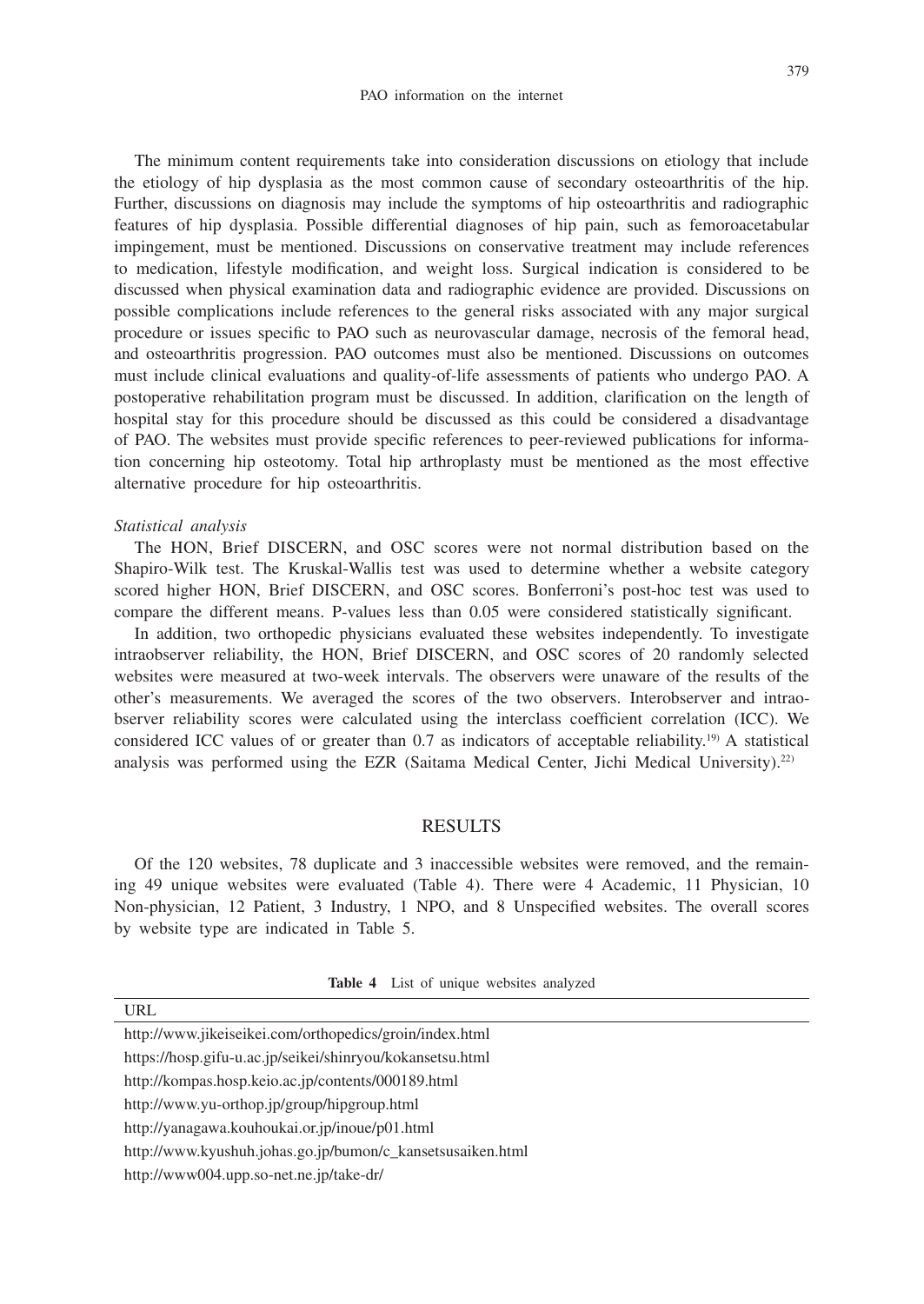The minimum content requirements take into consideration discussions on etiology that include the etiology of hip dysplasia as the most common cause of secondary osteoarthritis of the hip. Further, discussions on diagnosis may include the symptoms of hip osteoarthritis and radiographic features of hip dysplasia. Possible differential diagnoses of hip pain, such as femoroacetabular impingement, must be mentioned. Discussions on conservative treatment may include references to medication, lifestyle modification, and weight loss. Surgical indication is considered to be discussed when physical examination data and radiographic evidence are provided. Discussions on possible complications include references to the general risks associated with any major surgical procedure or issues specific to PAO such as neurovascular damage, necrosis of the femoral head, and osteoarthritis progression. PAO outcomes must also be mentioned. Discussions on outcomes must include clinical evaluations and quality-of-life assessments of patients who undergo PAO. A postoperative rehabilitation program must be discussed. In addition, clarification on the length of hospital stay for this procedure should be discussed as this could be considered a disadvantage of PAO. The websites must provide specific references to peer-reviewed publications for information concerning hip osteotomy. Total hip arthroplasty must be mentioned as the most effective alternative procedure for hip osteoarthritis.

#### *Statistical analysis*

The HON, Brief DISCERN, and OSC scores were not normal distribution based on the Shapiro-Wilk test. The Kruskal-Wallis test was used to determine whether a website category scored higher HON, Brief DISCERN, and OSC scores. Bonferroni's post-hoc test was used to compare the different means. P-values less than 0.05 were considered statistically significant.

In addition, two orthopedic physicians evaluated these websites independently. To investigate intraobserver reliability, the HON, Brief DISCERN, and OSC scores of 20 randomly selected websites were measured at two-week intervals. The observers were unaware of the results of the other's measurements. We averaged the scores of the two observers. Interobserver and intraobserver reliability scores were calculated using the interclass coefficient correlation (ICC). We considered ICC values of or greater than 0.7 as indicators of acceptable reliability.<sup>19)</sup> A statistical analysis was performed using the EZR (Saitama Medical Center, Jichi Medical University).22)

# **RESULTS**

Of the 120 websites, 78 duplicate and 3 inaccessible websites were removed, and the remaining 49 unique websites were evaluated (Table 4). There were 4 Academic, 11 Physician, 10 Non-physician, 12 Patient, 3 Industry, 1 NPO, and 8 Unspecified websites. The overall scores by website type are indicated in Table 5.

| Table 4 List of unique websites analyzed |  |  |  |
|------------------------------------------|--|--|--|
|                                          |  |  |  |

| URL                                                     |  |
|---------------------------------------------------------|--|
| http://www.jikeiseikei.com/orthopedics/groin/index.html |  |

https://hosp.gifu-u.ac.jp/seikei/shinryou/kokansetsu.html

http://kompas.hosp.keio.ac.jp/contents/000189.html

http://www.yu-orthop.jp/group/hipgroup.html

http://yanagawa.kouhoukai.or.jp/inoue/p01.html

http://www.kyushuh.johas.go.jp/bumon/c\_kansetsusaiken.html

http://www004.upp.so-net.ne.jp/take-dr/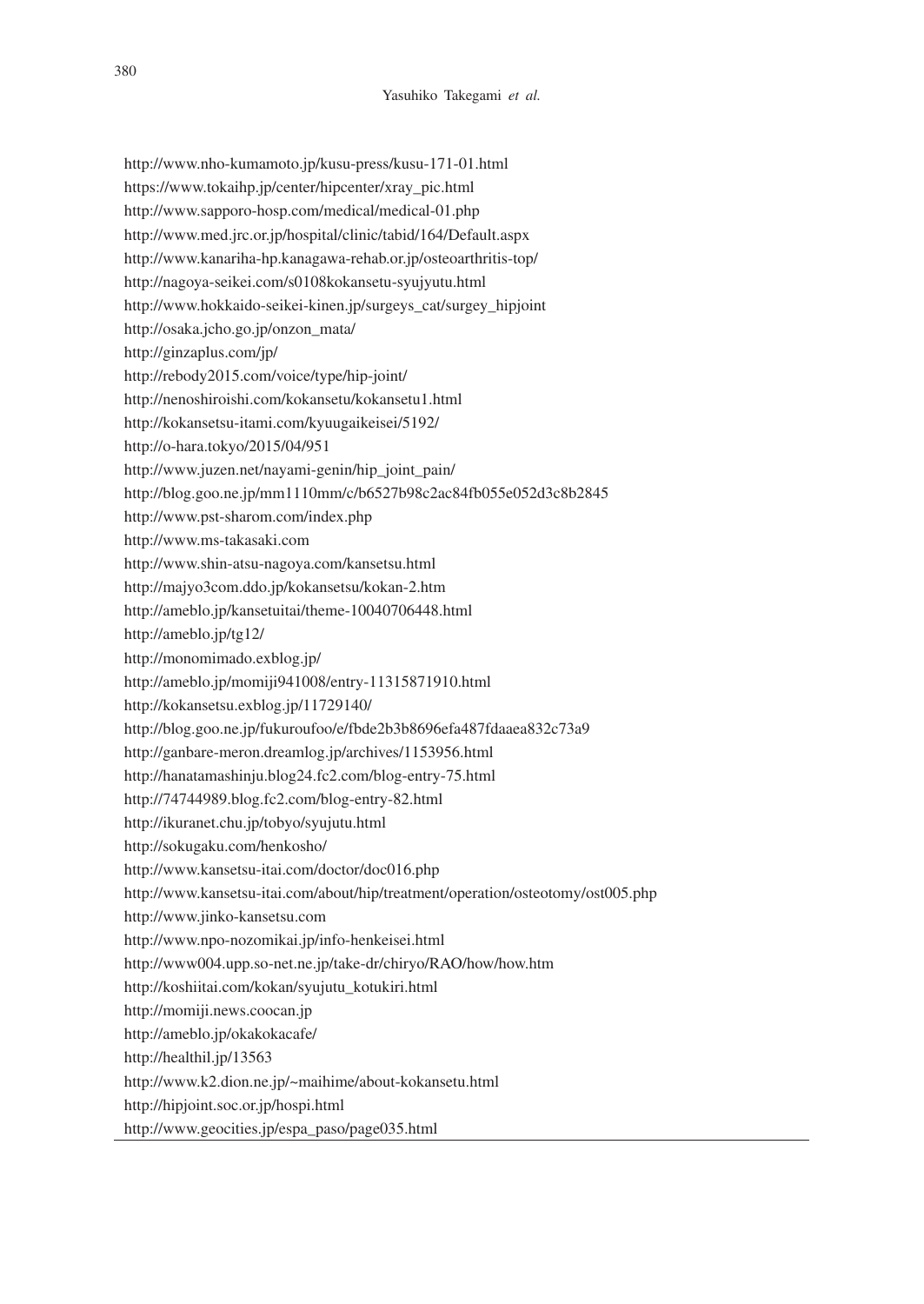http://www.nho-kumamoto.jp/kusu-press/kusu-171-01.html https://www.tokaihp.jp/center/hipcenter/xray\_pic.html http://www.sapporo-hosp.com/medical/medical-01.php http://www.med.jrc.or.jp/hospital/clinic/tabid/164/Default.aspx http://www.kanariha-hp.kanagawa-rehab.or.jp/osteoarthritis-top/ http://nagoya-seikei.com/s0108kokansetu-syujyutu.html http://www.hokkaido-seikei-kinen.jp/surgeys\_cat/surgey\_hipjoint http://osaka.jcho.go.jp/onzon\_mata/ http://ginzaplus.com/jp/ http://rebody2015.com/voice/type/hip-joint/ http://nenoshiroishi.com/kokansetu/kokansetu1.html http://kokansetsu-itami.com/kyuugaikeisei/5192/ http://o-hara.tokyo/2015/04/951 http://www.juzen.net/nayami-genin/hip\_joint\_pain/ http://blog.goo.ne.jp/mm1110mm/c/b6527b98c2ac84fb055e052d3c8b2845 http://www.pst-sharom.com/index.php http://www.ms-takasaki.com http://www.shin-atsu-nagoya.com/kansetsu.html http://majyo3com.ddo.jp/kokansetsu/kokan-2.htm http://ameblo.jp/kansetuitai/theme-10040706448.html http://ameblo.jp/tg12/ http://monomimado.exblog.jp/ http://ameblo.jp/momiji941008/entry-11315871910.html http://kokansetsu.exblog.jp/11729140/ http://blog.goo.ne.jp/fukuroufoo/e/fbde2b3b8696efa487fdaaea832c73a9 http://ganbare-meron.dreamlog.jp/archives/1153956.html http://hanatamashinju.blog24.fc2.com/blog-entry-75.html http://74744989.blog.fc2.com/blog-entry-82.html http://ikuranet.chu.jp/tobyo/syujutu.html http://sokugaku.com/henkosho/ http://www.kansetsu-itai.com/doctor/doc016.php http://www.kansetsu-itai.com/about/hip/treatment/operation/osteotomy/ost005.php http://www.jinko-kansetsu.com http://www.npo-nozomikai.jp/info-henkeisei.html http://www004.upp.so-net.ne.jp/take-dr/chiryo/RAO/how/how.htm http://koshiitai.com/kokan/syujutu\_kotukiri.html http://momiji.news.coocan.jp http://ameblo.jp/okakokacafe/ http://healthil.jp/13563 http://www.k2.dion.ne.jp/~maihime/about-kokansetu.html http://hipjoint.soc.or.jp/hospi.html

http://www.geocities.jp/espa\_paso/page035.html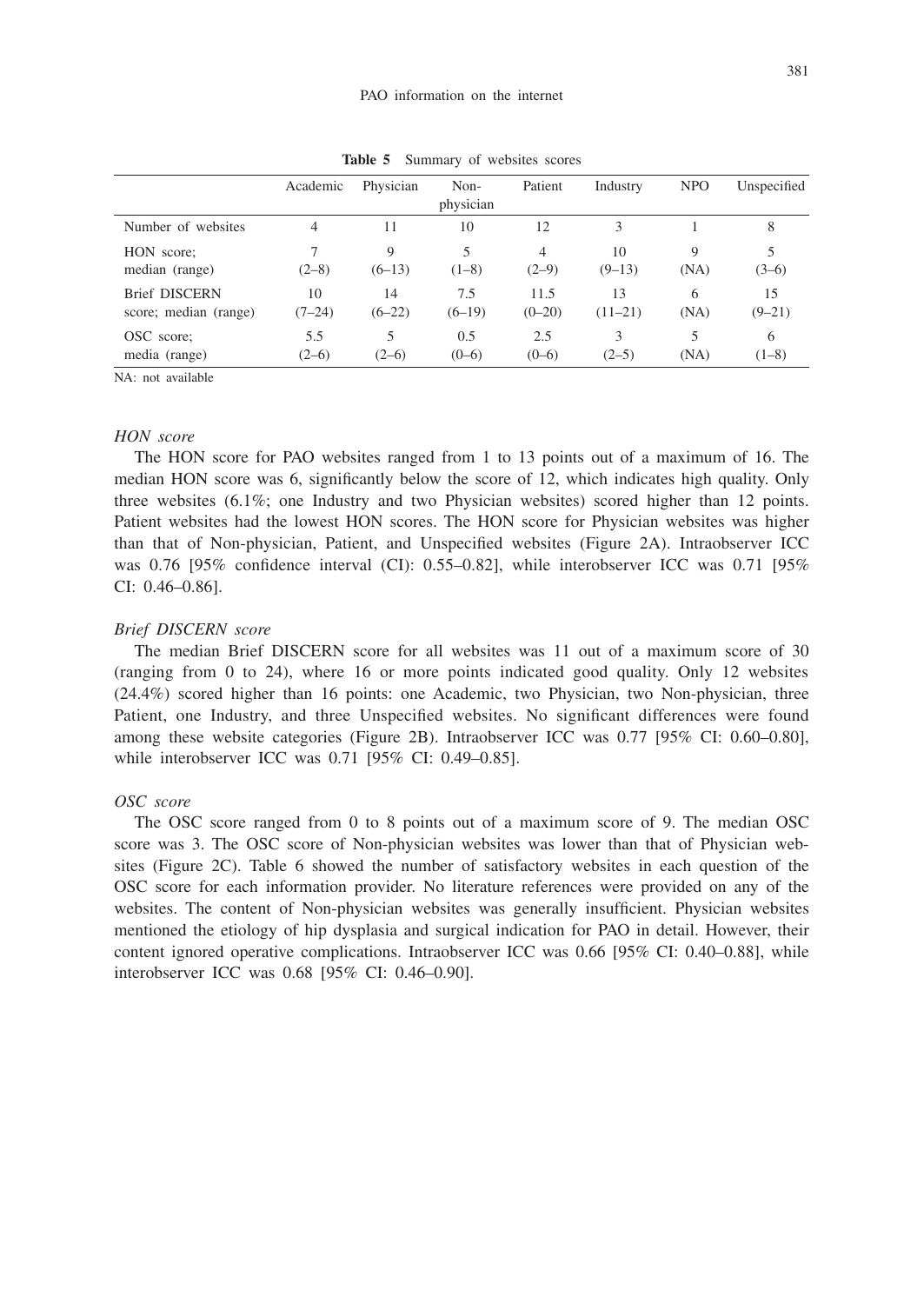|                       | Academic | Physician | Non-<br>physician | Patient        | Industry  | <b>NPO</b> | Unspecified |
|-----------------------|----------|-----------|-------------------|----------------|-----------|------------|-------------|
| Number of websites    | 4        | 11        | 10                | 12             | 3         |            | 8           |
| HON score;            | $(2-8)$  | 9         | 5                 | $\overline{4}$ | 10        | 9          | 5           |
| median (range)        |          | $(6-13)$  | $(1-8)$           | $(2-9)$        | $(9-13)$  | (NA)       | $(3-6)$     |
| <b>Brief DISCERN</b>  | 10       | 14        | 7.5               | 11.5           | 13        | 6          | 15          |
| score; median (range) | $(7-24)$ | $(6-22)$  | $(6-19)$          | $(0-20)$       | $(11-21)$ | (NA)       | $(9-21)$    |
| OSC score;            | 5.5      | 5         | 0.5               | 2.5            | 3         | 5          | 6           |
| media (range)         | $(2-6)$  | $(2-6)$   | $(0-6)$           | $(0-6)$        | $(2-5)$   | (NA)       | $(1-8)$     |

**Table 5** Summary of websites scores

NA: not available

## *HON score*

The HON score for PAO websites ranged from 1 to 13 points out of a maximum of 16. The median HON score was 6, significantly below the score of 12, which indicates high quality. Only three websites (6.1%; one Industry and two Physician websites) scored higher than 12 points. Patient websites had the lowest HON scores. The HON score for Physician websites was higher than that of Non-physician, Patient, and Unspecified websites (Figure 2A). Intraobserver ICC was 0.76 [95% confidence interval (CI): 0.55–0.82], while interobserver ICC was 0.71 [95% CI: 0.46–0.86].

#### *Brief DISCERN score*

The median Brief DISCERN score for all websites was 11 out of a maximum score of 30 (ranging from 0 to 24), where 16 or more points indicated good quality. Only 12 websites (24.4%) scored higher than 16 points: one Academic, two Physician, two Non-physician, three Patient, one Industry, and three Unspecified websites. No significant differences were found among these website categories (Figure 2B). Intraobserver ICC was 0.77 [95% CI: 0.60–0.80], while interobserver ICC was 0.71 [95% CI: 0.49–0.85].

#### *OSC score*

The OSC score ranged from 0 to 8 points out of a maximum score of 9. The median OSC score was 3. The OSC score of Non-physician websites was lower than that of Physician websites (Figure 2C). Table 6 showed the number of satisfactory websites in each question of the OSC score for each information provider. No literature references were provided on any of the websites. The content of Non-physician websites was generally insufficient. Physician websites mentioned the etiology of hip dysplasia and surgical indication for PAO in detail. However, their content ignored operative complications. Intraobserver ICC was 0.66 [95% CI: 0.40–0.88], while interobserver ICC was 0.68 [95% CI: 0.46–0.90].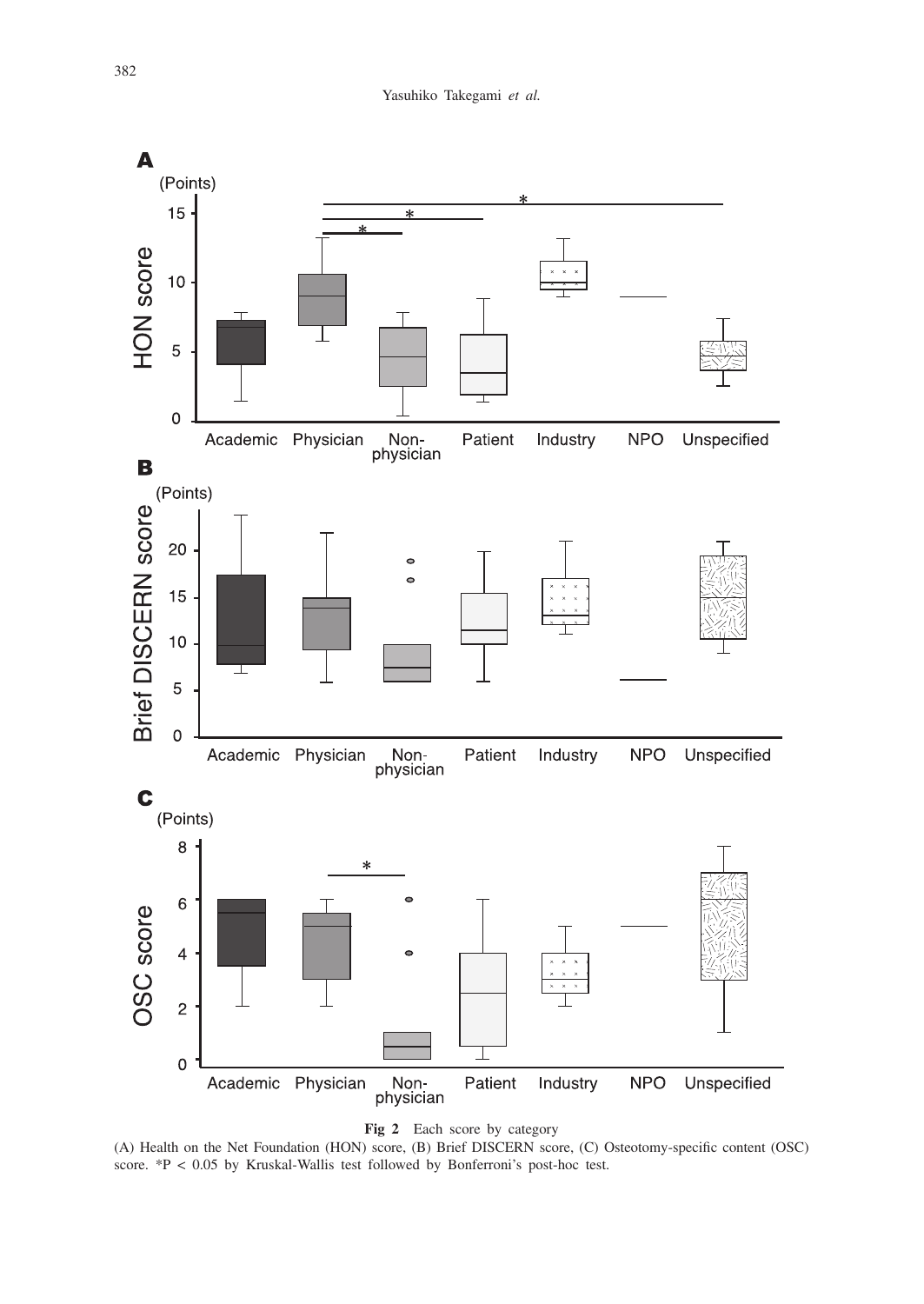



(A) Health on the Net Foundation (HON) score, (B) Brief DISCERN score, (C) Osteotomy-specific content (OSC) score. \*P < 0.05 by Kruskal-Wallis test followed by Bonferroni's post-hoc test.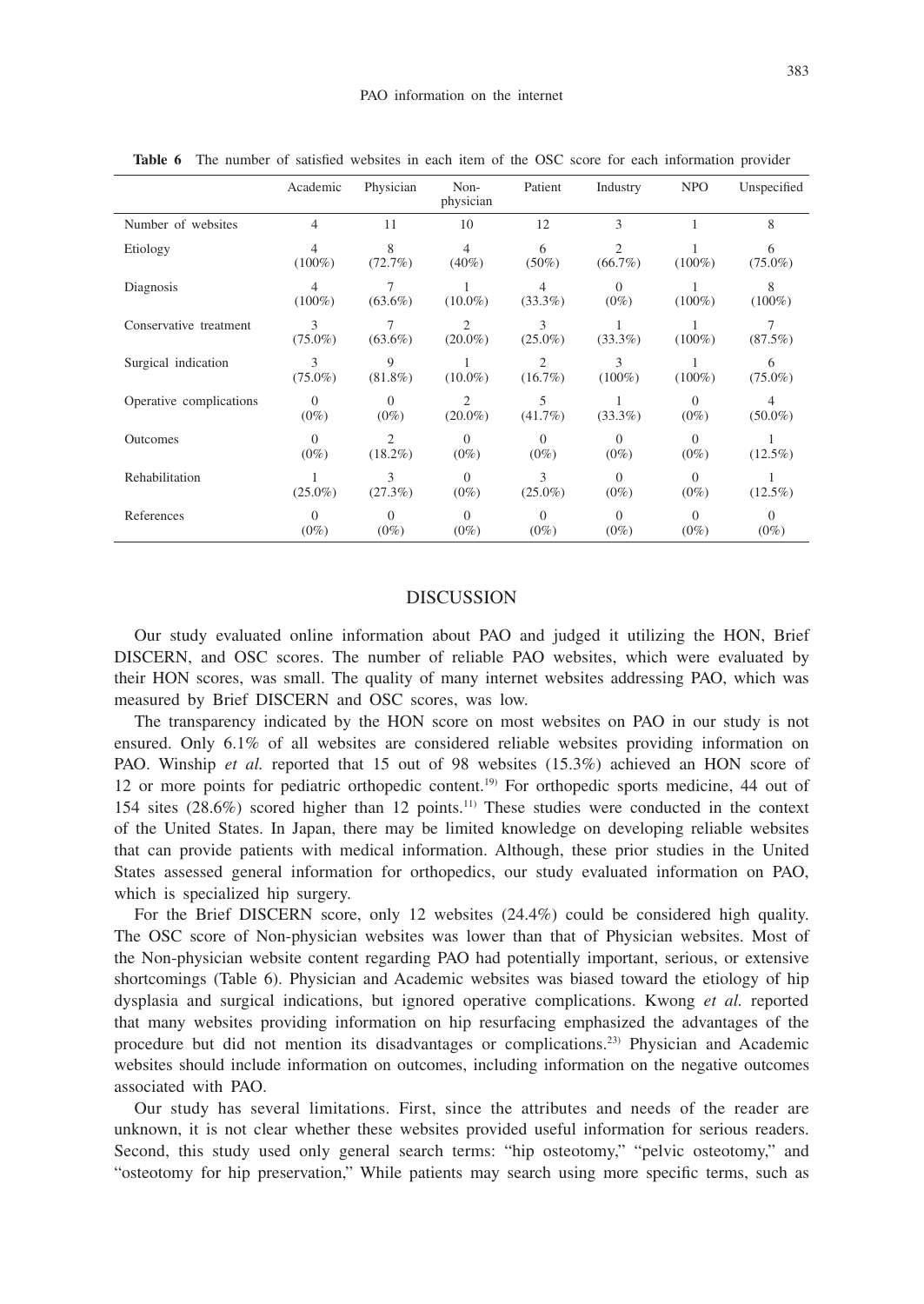|                         | Academic            | Physician                    | Non-<br>physician            | Patient                      | Industry                     | <b>NPO</b>          | Unspecified         |
|-------------------------|---------------------|------------------------------|------------------------------|------------------------------|------------------------------|---------------------|---------------------|
| Number of websites      | 4                   | 11                           | 10                           | 12                           | 3                            |                     | 8                   |
| Etiology                | 4<br>$(100\%)$      | 8<br>(72.7%)                 | $\overline{4}$<br>$(40\%)$   | 6<br>$(50\%)$                | $\overline{c}$<br>$(66.7\%)$ | $(100\%)$           | 6<br>$(75.0\%)$     |
| Diagnosis               | 4<br>$(100\%)$      | 7<br>$(63.6\%)$              | $(10.0\%)$                   | 4<br>$(33.3\%)$              | $\Omega$<br>$(0\%)$          | $(100\%)$           | 8<br>$(100\%)$      |
| Conservative treatment  | 3<br>$(75.0\%)$     | $(63.6\%)$                   | $\overline{c}$<br>$(20.0\%)$ | 3<br>$(25.0\%)$              | $(33.3\%)$                   | $(100\%)$           | $(87.5\%)$          |
| Surgical indication     | 3<br>$(75.0\%)$     | 9<br>$(81.8\%)$              | $(10.0\%)$                   | $\overline{c}$<br>$(16.7\%)$ | 3<br>$(100\%)$               | $(100\%)$           | 6<br>$(75.0\%)$     |
| Operative complications | $\Omega$<br>$(0\%)$ | $\Omega$<br>$(0\%)$          | 2<br>$(20.0\%)$              | 5<br>$(41.7\%)$              | $(33.3\%)$                   | $\Omega$<br>$(0\%)$ | 4<br>$(50.0\%)$     |
| Outcomes                | $\Omega$<br>$(0\%)$ | $\mathfrak{2}$<br>$(18.2\%)$ | $\Omega$<br>$(0\%)$          | $\Omega$<br>$(0\%)$          | $\Omega$<br>$(0\%)$          | $\Omega$<br>$(0\%)$ | $(12.5\%)$          |
| Rehabilitation          | $(25.0\%)$          | 3<br>(27.3%)                 | $\Omega$<br>$(0\%)$          | 3<br>$(25.0\%)$              | $\Omega$<br>$(0\%)$          | $\Omega$<br>$(0\%)$ | $(12.5\%)$          |
| References              | $\theta$<br>$(0\%)$ | $\Omega$<br>$(0\%)$          | $\Omega$<br>$(0\%)$          | $\Omega$<br>$(0\%)$          | $\Omega$<br>$(0\%)$          | $\Omega$<br>$(0\%)$ | $\Omega$<br>$(0\%)$ |

**Table 6** The number of satisfied websites in each item of the OSC score for each information provider

# DISCUSSION

Our study evaluated online information about PAO and judged it utilizing the HON, Brief DISCERN, and OSC scores. The number of reliable PAO websites, which were evaluated by their HON scores, was small. The quality of many internet websites addressing PAO, which was measured by Brief DISCERN and OSC scores, was low.

The transparency indicated by the HON score on most websites on PAO in our study is not ensured. Only 6.1% of all websites are considered reliable websites providing information on PAO. Winship *et al.* reported that 15 out of 98 websites (15.3%) achieved an HON score of 12 or more points for pediatric orthopedic content.19) For orthopedic sports medicine, 44 out of 154 sites (28.6%) scored higher than 12 points.11) These studies were conducted in the context of the United States. In Japan, there may be limited knowledge on developing reliable websites that can provide patients with medical information. Although, these prior studies in the United States assessed general information for orthopedics, our study evaluated information on PAO, which is specialized hip surgery.

For the Brief DISCERN score, only 12 websites (24.4%) could be considered high quality. The OSC score of Non-physician websites was lower than that of Physician websites. Most of the Non-physician website content regarding PAO had potentially important, serious, or extensive shortcomings (Table 6). Physician and Academic websites was biased toward the etiology of hip dysplasia and surgical indications, but ignored operative complications. Kwong *et al.* reported that many websites providing information on hip resurfacing emphasized the advantages of the procedure but did not mention its disadvantages or complications.23) Physician and Academic websites should include information on outcomes, including information on the negative outcomes associated with PAO.

Our study has several limitations. First, since the attributes and needs of the reader are unknown, it is not clear whether these websites provided useful information for serious readers. Second, this study used only general search terms: "hip osteotomy," "pelvic osteotomy," and "osteotomy for hip preservation," While patients may search using more specific terms, such as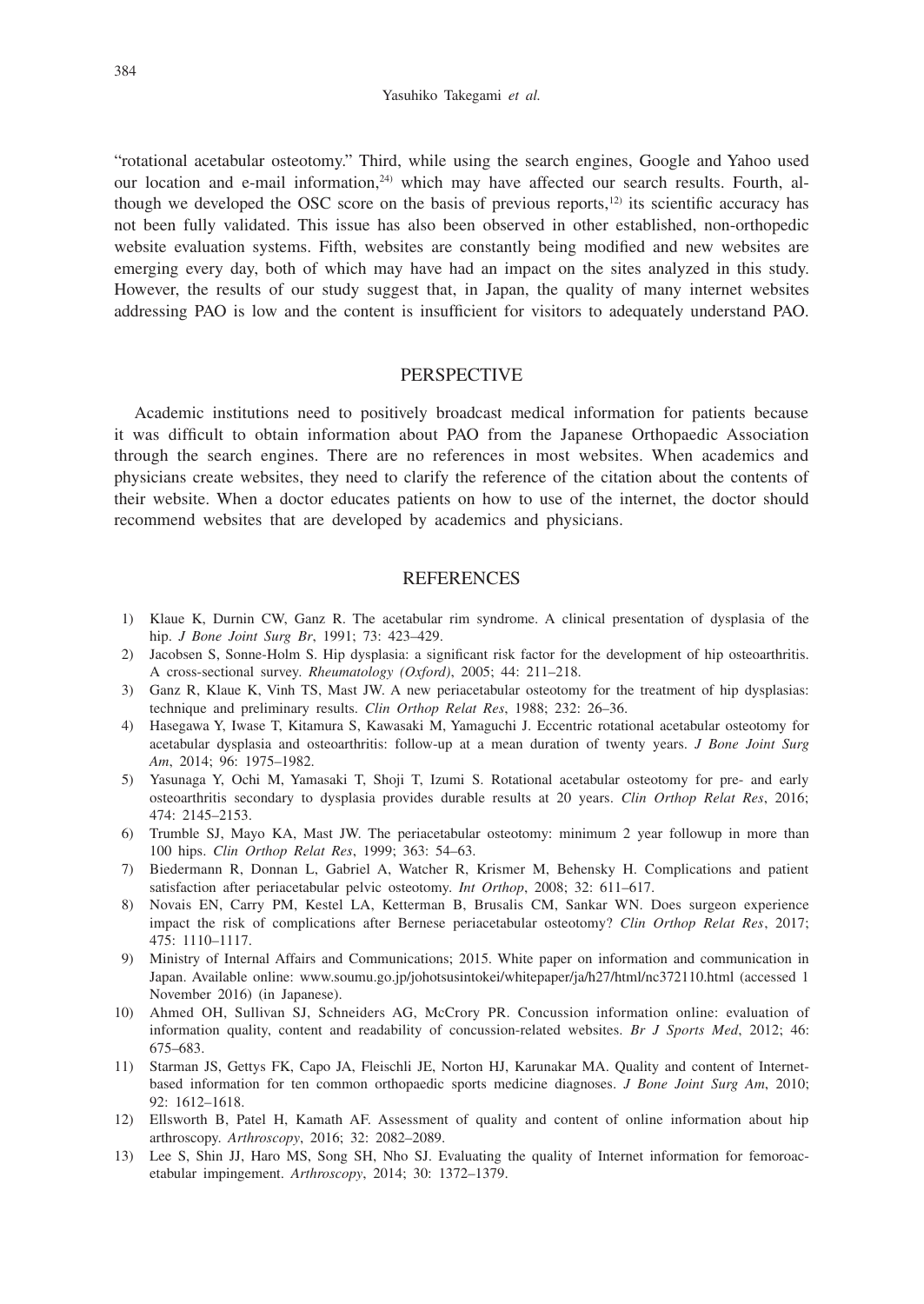#### Yasuhiko Takegami *et al.*

"rotational acetabular osteotomy." Third, while using the search engines, Google and Yahoo used our location and e-mail information,<sup>24)</sup> which may have affected our search results. Fourth, although we developed the OSC score on the basis of previous reports,<sup>12)</sup> its scientific accuracy has not been fully validated. This issue has also been observed in other established, non-orthopedic website evaluation systems. Fifth, websites are constantly being modified and new websites are emerging every day, both of which may have had an impact on the sites analyzed in this study. However, the results of our study suggest that, in Japan, the quality of many internet websites addressing PAO is low and the content is insufficient for visitors to adequately understand PAO.

## **PERSPECTIVE**

Academic institutions need to positively broadcast medical information for patients because it was difficult to obtain information about PAO from the Japanese Orthopaedic Association through the search engines. There are no references in most websites. When academics and physicians create websites, they need to clarify the reference of the citation about the contents of their website. When a doctor educates patients on how to use of the internet, the doctor should recommend websites that are developed by academics and physicians.

## **REFERENCES**

- 1) Klaue K, Durnin CW, Ganz R. The acetabular rim syndrome. A clinical presentation of dysplasia of the hip. *J Bone Joint Surg Br*, 1991; 73: 423–429.
- 2) Jacobsen S, Sonne-Holm S. Hip dysplasia: a significant risk factor for the development of hip osteoarthritis. A cross-sectional survey. *Rheumatology (Oxford)*, 2005; 44: 211–218.
- 3) Ganz R, Klaue K, Vinh TS, Mast JW. A new periacetabular osteotomy for the treatment of hip dysplasias: technique and preliminary results. *Clin Orthop Relat Res*, 1988; 232: 26–36.
- 4) Hasegawa Y, Iwase T, Kitamura S, Kawasaki M, Yamaguchi J. Eccentric rotational acetabular osteotomy for acetabular dysplasia and osteoarthritis: follow-up at a mean duration of twenty years. *J Bone Joint Surg Am*, 2014; 96: 1975–1982.
- 5) Yasunaga Y, Ochi M, Yamasaki T, Shoji T, Izumi S. Rotational acetabular osteotomy for pre- and early osteoarthritis secondary to dysplasia provides durable results at 20 years. *Clin Orthop Relat Res*, 2016; 474: 2145–2153.
- 6) Trumble SJ, Mayo KA, Mast JW. The periacetabular osteotomy: minimum 2 year followup in more than 100 hips. *Clin Orthop Relat Res*, 1999; 363: 54–63.
- 7) Biedermann R, Donnan L, Gabriel A, Watcher R, Krismer M, Behensky H. Complications and patient satisfaction after periacetabular pelvic osteotomy. *Int Orthop*, 2008; 32: 611–617.
- 8) Novais EN, Carry PM, Kestel LA, Ketterman B, Brusalis CM, Sankar WN. Does surgeon experience impact the risk of complications after Bernese periacetabular osteotomy? *Clin Orthop Relat Res*, 2017; 475: 1110–1117.
- 9) Ministry of Internal Affairs and Communications; 2015. White paper on information and communication in Japan. Available online: www.soumu.go.jp/johotsusintokei/whitepaper/ja/h27/html/nc372110.html (accessed 1 November 2016) (in Japanese).
- 10) Ahmed OH, Sullivan SJ, Schneiders AG, McCrory PR. Concussion information online: evaluation of information quality, content and readability of concussion-related websites. *Br J Sports Med*, 2012; 46: 675–683.
- 11) Starman JS, Gettys FK, Capo JA, Fleischli JE, Norton HJ, Karunakar MA. Quality and content of Internetbased information for ten common orthopaedic sports medicine diagnoses. *J Bone Joint Surg Am*, 2010; 92: 1612–1618.
- 12) Ellsworth B, Patel H, Kamath AF. Assessment of quality and content of online information about hip arthroscopy. *Arthroscopy*, 2016; 32: 2082–2089.
- 13) Lee S, Shin JJ, Haro MS, Song SH, Nho SJ. Evaluating the quality of Internet information for femoroacetabular impingement. *Arthroscopy*, 2014; 30: 1372–1379.